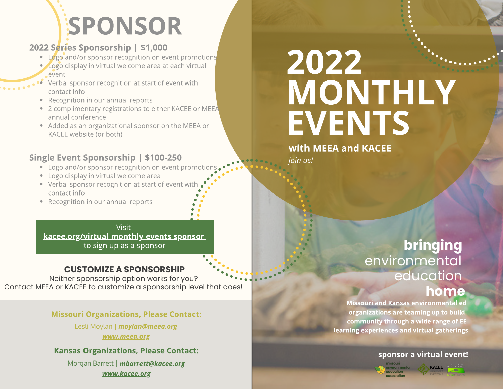# **SPONSOR**

## 2022 Series Sponsorship | \$1,000

- Logo and/or sponsor recognition on event promotions
- **Logo display in virtual welcome area at each virtual** event
- Verbal sponsor recognition at start of event with contact info
- Recognition in our annual reports
- 2 complimentary registrations to either KACEE or MEEA annual conference
- Added as an organizational sponsor on the MEEA or KACEE website (or both)

### Single Event Sponsorship | \$100-250

- Logo and/or sponsor recognition on event promotions
- Logo display in virtual welcome area
- Verbal sponsor recognition at start of event with contact info
- Recognition in our annual reports

Visit [kacee.org/virtual-monthly-events-sponsor](http://kacee.org/virtual-monthly-events-sponsor) to sign up as a sponsor

### **CUSTOMIZE A SPONSORSHIP**

Neither sponsorship option works for you? Contact MEEA or KACEE to customize a sponsorship level that does!

Missouri Organizations, Please Contact:

Lesli Moylan **|** moylan@meea.org [www.meea.org](http://www.meea.org/)

Kansas Organizations, Please Contact:

Morgan Barrett | mbarrett@kacee.org [www.kacee.org](http://www.kacee.org/)

# 2022 MONTHLY **EVENTS**

with MEEA and KACEE

join us!

# **bringing**  environmental education **home**

Missouri and Kansas environmental ed organizations are teaming up to build community through a wide range of EE learning experiences and virtual gatherings

#### sponsor a virtual event!